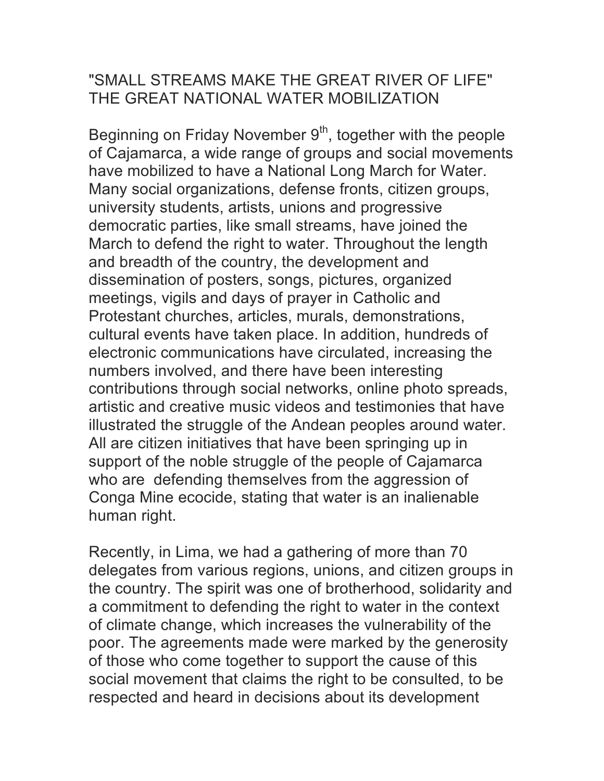## "SMALL STREAMS MAKE THE GREAT RIVER OF LIFE" THE GREAT NATIONAL WATER MOBILIZATION

Beginning on Friday November  $9<sup>th</sup>$ , together with the people of Cajamarca, a wide range of groups and social movements have mobilized to have a National Long March for Water. Many social organizations, defense fronts, citizen groups, university students, artists, unions and progressive democratic parties, like small streams, have joined the March to defend the right to water. Throughout the length and breadth of the country, the development and dissemination of posters, songs, pictures, organized meetings, vigils and days of prayer in Catholic and Protestant churches, articles, murals, demonstrations, cultural events have taken place. In addition, hundreds of electronic communications have circulated, increasing the numbers involved, and there have been interesting contributions through social networks, online photo spreads, artistic and creative music videos and testimonies that have illustrated the struggle of the Andean peoples around water. All are citizen initiatives that have been springing up in support of the noble struggle of the people of Cajamarca who are defending themselves from the aggression of Conga Mine ecocide, stating that water is an inalienable human right.

Recently, in Lima, we had a gathering of more than 70 delegates from various regions, unions, and citizen groups in the country. The spirit was one of brotherhood, solidarity and a commitment to defending the right to water in the context of climate change, which increases the vulnerability of the poor. The agreements made were marked by the generosity of those who come together to support the cause of this social movement that claims the right to be consulted, to be respected and heard in decisions about its development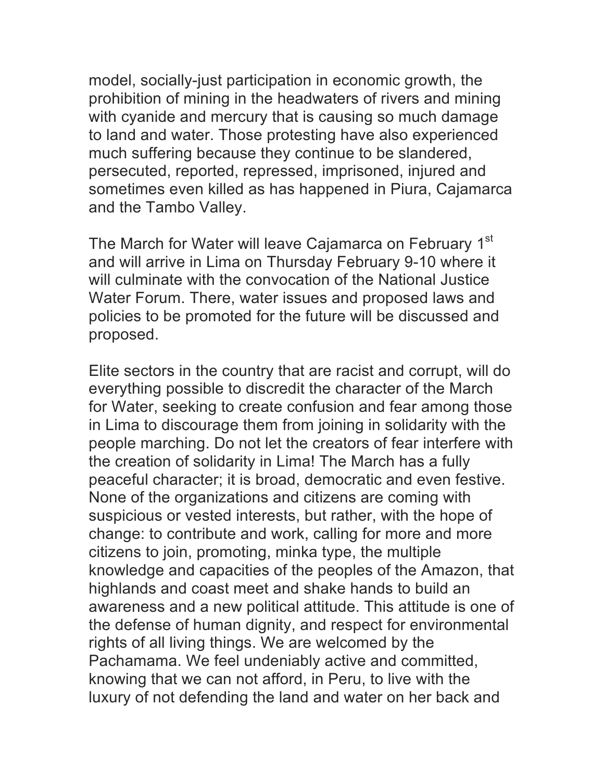model, socially-just participation in economic growth, the prohibition of mining in the headwaters of rivers and mining with cyanide and mercury that is causing so much damage to land and water. Those protesting have also experienced much suffering because they continue to be slandered, persecuted, reported, repressed, imprisoned, injured and sometimes even killed as has happened in Piura, Cajamarca and the Tambo Valley.

The March for Water will leave Cajamarca on February 1<sup>st</sup> and will arrive in Lima on Thursday February 9-10 where it will culminate with the convocation of the National Justice Water Forum. There, water issues and proposed laws and policies to be promoted for the future will be discussed and proposed.

Elite sectors in the country that are racist and corrupt, will do everything possible to discredit the character of the March for Water, seeking to create confusion and fear among those in Lima to discourage them from joining in solidarity with the people marching. Do not let the creators of fear interfere with the creation of solidarity in Lima! The March has a fully peaceful character; it is broad, democratic and even festive. None of the organizations and citizens are coming with suspicious or vested interests, but rather, with the hope of change: to contribute and work, calling for more and more citizens to join, promoting, minka type, the multiple knowledge and capacities of the peoples of the Amazon, that highlands and coast meet and shake hands to build an awareness and a new political attitude. This attitude is one of the defense of human dignity, and respect for environmental rights of all living things. We are welcomed by the Pachamama. We feel undeniably active and committed, knowing that we can not afford, in Peru, to live with the luxury of not defending the land and water on her back and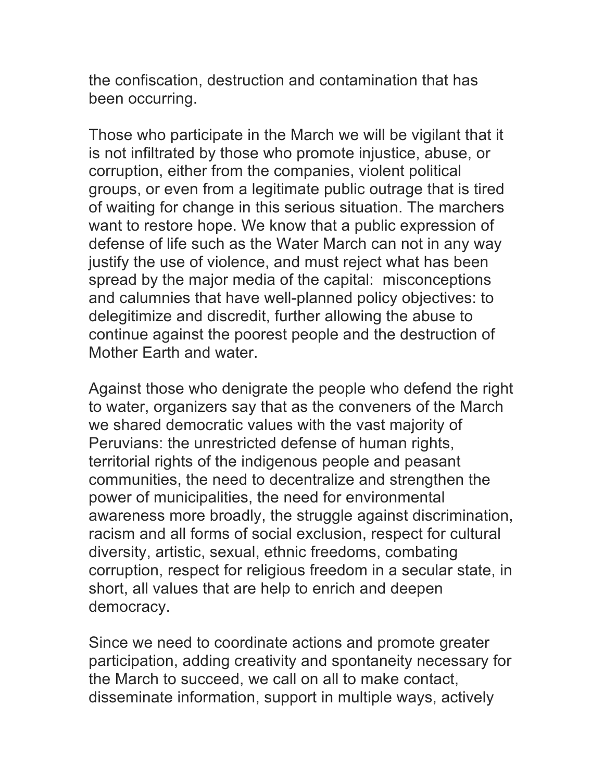the confiscation, destruction and contamination that has been occurring.

Those who participate in the March we will be vigilant that it is not infiltrated by those who promote injustice, abuse, or corruption, either from the companies, violent political groups, or even from a legitimate public outrage that is tired of waiting for change in this serious situation. The marchers want to restore hope. We know that a public expression of defense of life such as the Water March can not in any way justify the use of violence, and must reject what has been spread by the major media of the capital: misconceptions and calumnies that have well-planned policy objectives: to delegitimize and discredit, further allowing the abuse to continue against the poorest people and the destruction of Mother Earth and water.

Against those who denigrate the people who defend the right to water, organizers say that as the conveners of the March we shared democratic values with the vast majority of Peruvians: the unrestricted defense of human rights, territorial rights of the indigenous people and peasant communities, the need to decentralize and strengthen the power of municipalities, the need for environmental awareness more broadly, the struggle against discrimination, racism and all forms of social exclusion, respect for cultural diversity, artistic, sexual, ethnic freedoms, combating corruption, respect for religious freedom in a secular state, in short, all values that are help to enrich and deepen democracy.

Since we need to coordinate actions and promote greater participation, adding creativity and spontaneity necessary for the March to succeed, we call on all to make contact, disseminate information, support in multiple ways, actively